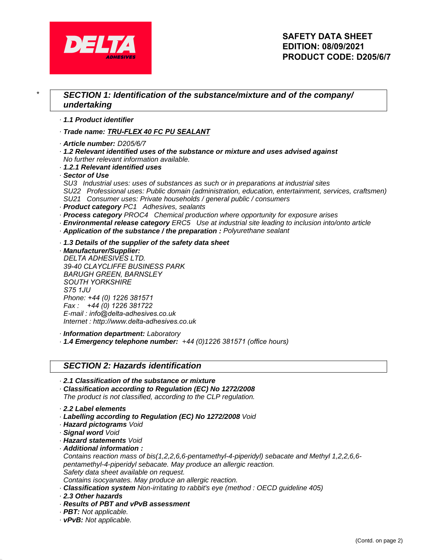

## \* **SECTION 1: Identification of the substance/mixture and of the company/ undertaking**

- · **1.1 Product identifier**
- · **Trade name:** *TRU-FLEX* **40 FC** *PU SEALANT*
- · **Article number:** *D205/6/7*
- · **1.2 Relevant identified uses of the substance or mixture and uses advised against** No further relevant information available.
- · **1.2.1 Relevant identified uses**
- · **Sector of Use**
- SU3 Industrial uses: uses of substances as such or in preparations at industrial sites
- SU22 Professional uses: Public domain (administration, education, entertainment, services, craftsmen)
- SU21 Consumer uses: Private households / general public / consumers
- · **Product category** PC1 Adhesives, sealants
- · **Process category** PROC4 Chemical production where opportunity for exposure arises
- · **Environmental release category** ERC5 Use at industrial site leading to inclusion into/onto article
- · **Application of the substance / the preparation :** Polyurethane sealant
- · **1.3 Details of the supplier of the safety data sheet**

· **Manufacturer/Supplier:** *DELTA ADHESIVES LTD*. 3*9-40 CLAYCLIFFE BUSINESS PARK BARUGH GREEN, BARNSLEY SOUTH YORKSHIRE S75 1JU* Phone: *+44 (0) 1226 381571* Fax : *+44 (0) 1226 381722* E-mail : *info@delta-adhesives.co.uk* Internet : http://www.*delta-adhesives.co.uk*

· **Information department:** Laboratory

· **1.4 Emergency telephone number:** +*44* (0)1*226 381571* (*office hours*)

### **SECTION 2: Hazards identification**

- · **2.1 Classification of the substance or mixture**
- · **Classification according to Regulation (EC) No 1272/2008** The product is not classified, according to the CLP regulation.
- · **2.2 Label elements**
- · **Labelling according to Regulation (EC) No 1272/2008** Void
- · **Hazard pictograms** Void
- · **Signal word** Void
- · **Hazard statements** Void
- · **Additional information :**

Contains reaction mass of bis(1,2,2,6,6-pentamethyl-4-piperidyl) sebacate and Methyl 1,2,2,6,6 pentamethyl-4-piperidyl sebacate. May produce an allergic reaction. Safety data sheet available on request.

Contains isocyanates. May produce an allergic reaction.

- · **Classification system** Non-irritating to rabbit's eye (method : OECD guideline 405)
- · **2.3 Other hazards**
- · **Results of PBT and vPvB assessment**
- · **PBT:** Not applicable.
- · **vPvB:** Not applicable.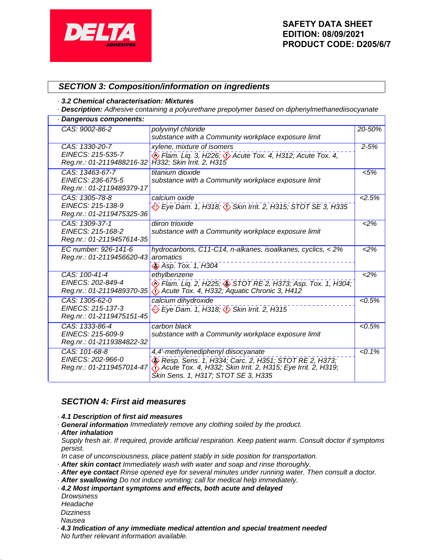

## **SECTION 3: Composition/information on ingredients**

#### · **3.2 Chemical characterisation: Mixtures**

· **Description:** Adhesive containing a polyurethane prepolymer based on diphenylmethanediisocyanate

| · Dangerous components:                                           |                                                                                                                                                                                                    |           |  |
|-------------------------------------------------------------------|----------------------------------------------------------------------------------------------------------------------------------------------------------------------------------------------------|-----------|--|
| CAS: 9002-86-2                                                    | polyvinyl chloride<br>substance with a Community workplace exposure limit                                                                                                                          | 20-50%    |  |
| CAS: 1330-20-7<br>EINECS: 215-535-7<br>Reg.nr.: 01-2119488216-32  | xylene, mixture of isomers<br>$\binom{1}{2}$ Flam. Liq. 3, H226; $\binom{1}{2}$ Acute Tox. 4, H312; Acute Tox. 4,<br>H332; Skin Irrit. 2, H315                                                     | $2 - 5%$  |  |
| CAS: 13463-67-7<br>EINECS: 236-675-5<br>Reg.nr.: 01-2119489379-17 | titanium dioxide<br>substance with a Community workplace exposure limit                                                                                                                            | < 5%      |  |
| CAS: 1305-78-8<br>EINECS: 215-138-9<br>Reg.nr.: 01-2119475325-36  | calcium oxide<br>Eye Dam. 1, H318; <>>Skin Irrit. 2, H315; STOT SE 3, H335                                                                                                                         | 2.5%      |  |
| CAS: 1309-37-1<br>EINECS: 215-168-2<br>Reg.nr.: 01-2119457614-35  | diiron trioxide<br>substance with a Community workplace exposure limit                                                                                                                             | 2%        |  |
| EC number: 926-141-6<br>Reg.nr.: 01-2119456620-43                 | hydrocarbons, C11-C14, n-alkanes, isoalkanes, cyclics, < 2%<br>aromatics<br>♦ Asp. Tox. 1, H304                                                                                                    | $2\%$     |  |
| CAS: 100-41-4<br>EINECS: 202-849-4<br>Reg.nr.: 01-2119489370-35   | ethylbenzene<br>♦ Flam. Liq. 2, H225; ♦ STOT RE 2, H373; Asp. Tox. 1, H304;<br>$\leftrightarrow$ Acute Tox. 4, H332; Aquatic Chronic 3, H412                                                       | 2%        |  |
| CAS: 1305-62-0<br>EINECS: 215-137-3<br>Reg.nr.: 01-2119475151-45  | calcium dihydroxide<br>Eye Dam. 1, H318; $\Diamond$ Skin Irrit. 2, H315                                                                                                                            | 5%        |  |
| CAS: 1333-86-4<br>EINECS: 215-609-9<br>Reg.nr.: 01-2119384822-32  | carbon black<br>substance with a Community workplace exposure limit                                                                                                                                | 5%        |  |
| CAS: 101-68-8<br>EINECS: 202-966-0<br>Reg.nr.: 01-2119457014-47   | 4,4'-methylenediphenyl diisocyanate<br>Resp. Sens. 1, H334; Carc. 2, H351; STOT RE 2, H373;<br>Acute Tox. 4, H332; Skin Irrit. 2, H315; Eye Irrit. 2, H319;<br>Škin Sens. 1, H317; STOT SE 3, H335 | $< 0.1\%$ |  |

### **SECTION 4: First aid measures**

### · **4.1 Description of first aid measures**

- · **General information** Immediately remove any clothing soiled by the product.
- · **After inhalation**
- Supply fresh air. If required, provide artificial respiration. Keep patient warm. Consult doctor if symptoms persist.
- In case of unconsciousness, place patient stably in side position for transportation.
- · **After skin contact** Immediately wash with water and soap and rinse thoroughly.
- · **After eye contact** Rinse opened eye for several minutes under running water. Then consult a doctor.
- · **After swallowing** Do not induce vomiting; call for medical help immediately.
- · **4.2 Most important symptoms and effects, both acute and delayed**
- **Drowsiness** Headache **Dizziness**
- Nausea
- · **4.3 Indication of any immediate medical attention and special treatment needed** No further relevant information available.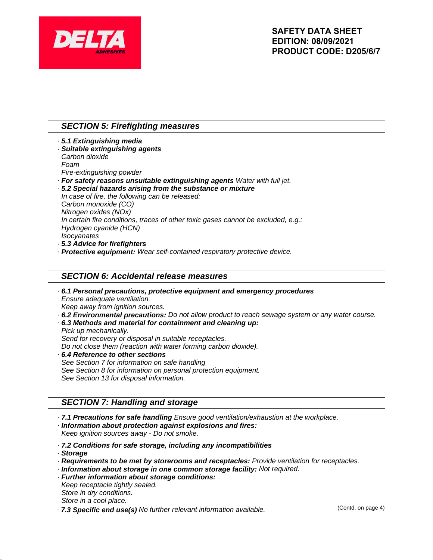

# **SECTION 5: Firefighting measures**

- · **5.1 Extinguishing media** · **Suitable extinguishing agents** Carbon dioxide Foam Fire-extinguishing powder · **For safety reasons unsuitable extinguishing agents** Water with full jet. · **5.2 Special hazards arising from the substance or mixture**
- In case of fire, the following can be released: Carbon monoxide (CO) Nitrogen oxides (NOx) In certain fire conditions, traces of other toxic gases cannot be excluded, e.g.: Hydrogen cyanide (HCN) **Isocvanates** · **5.3 Advice for firefighters**
- · **Protective equipment:** Wear self-contained respiratory protective device.

## **SECTION 6: Accidental release measures**

- · **6.1 Personal precautions, protective equipment and emergency procedures** Ensure adequate ventilation. Keep away from ignition sources.
- · **6.2 Environmental precautions:** Do not allow product to reach sewage system or any water course.
- · **6.3 Methods and material for containment and cleaning up:**
- Pick up mechanically. Send for recovery or disposal in suitable receptacles. Do not close them (reaction with water forming carbon dioxide). · **6.4 Reference to other sections**
- See Section 7 for information on safe handling See Section 8 for information on personal protection equipment. See Section 13 for disposal information.

## **SECTION 7: Handling and storage**

- · **7.1 Precautions for safe handling** Ensure good ventilation/exhaustion at the workplace.
- · **Information about protection against explosions and fires:**

Keep ignition sources away - Do not smoke.

- · **7.2 Conditions for safe storage, including any incompatibilities**
- · **Storage**
- · **Requirements to be met by storerooms and receptacles:** Provide ventilation for receptacles.
- · **Information about storage in one common storage facility:** Not required.
- · **Further information about storage conditions:**
- Keep receptacle tightly sealed.
- Store in dry conditions. Store in a cool place.
- 
- · **7.3 Specific end use(s)** No further relevant information available.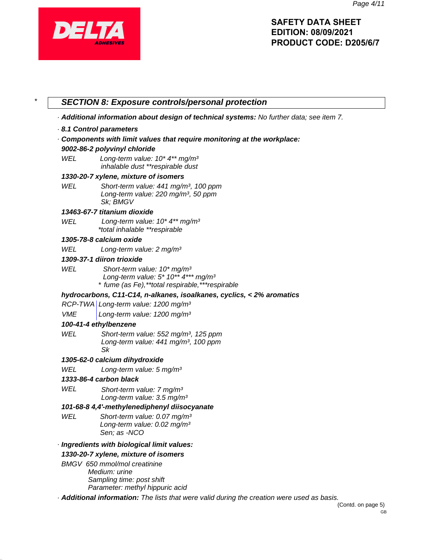

|            | - Additional information about design of technical systems: No further data; see item 7.                                                         |
|------------|--------------------------------------------------------------------------------------------------------------------------------------------------|
|            | 8.1 Control parameters                                                                                                                           |
|            | · Components with limit values that require monitoring at the workplace:                                                                         |
|            | 9002-86-2 polyvinyl chloride                                                                                                                     |
| WEL        | Long-term value: $10* 4**$ mg/m <sup>3</sup><br>inhalable dust **respirable dust                                                                 |
|            | 1330-20-7 xylene, mixture of isomers                                                                                                             |
| WEL        | Short-term value: 441 mg/m <sup>3</sup> , 100 ppm<br>Long-term value: 220 mg/m <sup>3</sup> , 50 ppm<br>Sk; BMGV                                 |
|            | 13463-67-7 titanium dioxide                                                                                                                      |
| WEL        | Long-term value: $10* 4**$ mg/m <sup>3</sup><br>*total inhalable **respirable                                                                    |
|            | 1305-78-8 calcium oxide                                                                                                                          |
| WEL        | Long-term value: 2 mg/m <sup>3</sup>                                                                                                             |
|            | 1309-37-1 diiron trioxide                                                                                                                        |
| WEL        | Short-term value: 10* mg/m <sup>3</sup><br>Long-term value: $5*10**4***$ mg/m <sup>3</sup><br>* fume (as Fe), **total respirable, *** respirable |
|            | hydrocarbons, C11-C14, n-alkanes, isoalkanes, cyclics, < 2% aromatics                                                                            |
|            | RCP-TWA Long-term value: 1200 mg/m <sup>3</sup>                                                                                                  |
| <b>VME</b> | Long-term value: 1200 mg/m <sup>3</sup>                                                                                                          |
|            | 100-41-4 ethylbenzene                                                                                                                            |
| WEL        | Short-term value: 552 mg/m <sup>3</sup> , 125 ppm<br>Long-term value: 441 mg/m <sup>3</sup> , 100 ppm<br>Sk                                      |
|            | 1305-62-0 calcium dihydroxide                                                                                                                    |
| WEL        | Long-term value: 5 mg/m <sup>3</sup>                                                                                                             |
|            | 1333-86-4 carbon black                                                                                                                           |
| WEL        | Short-term value: 7 mg/m <sup>3</sup><br>Long-term value: 3.5 mg/m <sup>3</sup>                                                                  |
|            | 101-68-8 4,4'-methylenediphenyl diisocyanate                                                                                                     |
| WEL        | Short-term value: 0.07 mg/m <sup>3</sup><br>Long-term value: 0.02 mg/m <sup>3</sup><br>Sen; as -NCO                                              |
|            | · Ingredients with biological limit values:                                                                                                      |
|            | 1330-20-7 xylene, mixture of isomers                                                                                                             |
|            | BMGV 650 mmol/mol creatinine                                                                                                                     |
|            | Medium: urine<br>Sampling time: post shift                                                                                                       |
|            | Parameter: methyl hippuric acid<br>· Additional information: The lists that were valid during the creation were used as basis.                   |
|            |                                                                                                                                                  |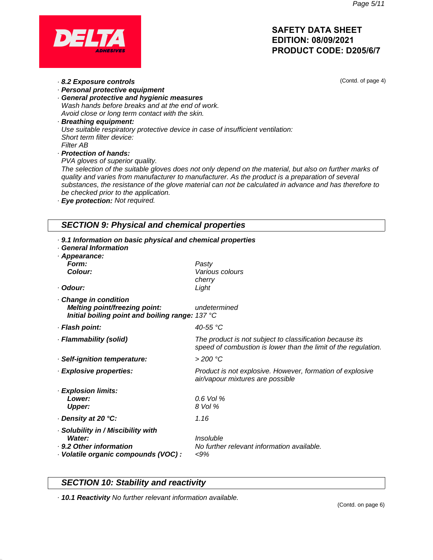(Contd. of page 4)



- · **8.2 Exposure controls**
- · **Personal protective equipment** · **General protective and hygienic measures**
- Wash hands before breaks and at the end of work. Avoid close or long term contact with the skin.
- · **Breathing equipment:** Use suitable respiratory protective device in case of insufficient ventilation: Short term filter device: Filter AB
- · **Protection of hands:**
- PVA gloves of superior quality.

The selection of the suitable gloves does not only depend on the material, but also on further marks of quality and varies from manufacturer to manufacturer. As the product is a preparation of several substances, the resistance of the glove material can not be calculated in advance and has therefore to be checked prior to the application.

· **Eye protection:** Not required.

# **SECTION 9: Physical and chemical properties**

| . 9.1 Information on basic physical and chemical properties<br><b>General Information</b><br>· Appearance:<br>Form:<br>Colour:<br>· Odour: | Pasty<br>Various colours<br>cherry<br>Light                                                                                |
|--------------------------------------------------------------------------------------------------------------------------------------------|----------------------------------------------------------------------------------------------------------------------------|
| Change in condition<br>Melting point/freezing point:<br>Initial boiling point and boiling range: 137 °C                                    | undetermined                                                                                                               |
| · Flash point:                                                                                                                             | 40-55 °C                                                                                                                   |
| · Flammability (solid)                                                                                                                     | The product is not subject to classification because its<br>speed of combustion is lower than the limit of the regulation. |
| · Self-ignition temperature:                                                                                                               | > 200 °C                                                                                                                   |
| · Explosive properties:                                                                                                                    | Product is not explosive. However, formation of explosive<br>air/vapour mixtures are possible                              |
| · Explosion limits:<br>Lower:<br><b>Upper:</b>                                                                                             | $0.6$ Vol %<br>8 Vol %                                                                                                     |
| · Density at 20 °C:                                                                                                                        | 1.16                                                                                                                       |
| · Solubility in / Miscibility with<br>Water:<br>· 9.2 Other information<br>· Volatile organic compounds (VOC) :                            | Insoluble<br>No further relevant information available.<br>$< 9\%$                                                         |

# **SECTION 10: Stability and reactivity**

· **10.1 Reactivity** No further relevant information available.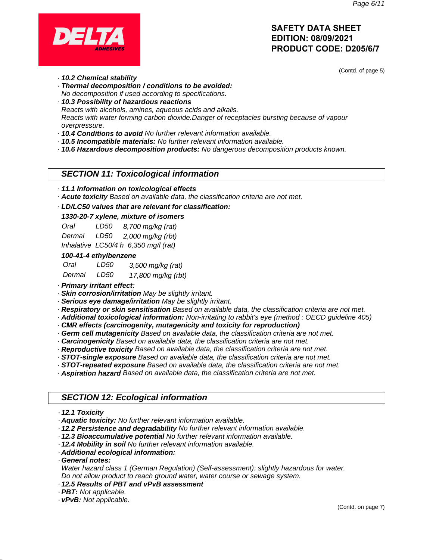

(Contd. of page 5)

- · **10.2 Chemical stability**
- · **Thermal decomposition / conditions to be avoided:** No decomposition if used according to specifications.
- · **10.3 Possibility of hazardous reactions** Reacts with alcohols, amines, aqueous acids and alkalis. Reacts with water forming carbon dioxide.Danger of receptacles bursting because of vapour overpressure.
- · **10.4 Conditions to avoid** No further relevant information available.
- · **10.5 Incompatible materials:** No further relevant information available.
- · **10.6 Hazardous decomposition products:** No dangerous decomposition products known.

## **SECTION 11: Toxicological information**

- · **11.1 Information on toxicological effects**
- · **Acute toxicity** Based on available data, the classification criteria are not met.
- · **LD/LC50 values that are relevant for classification:**

### **1330-20-7 xylene, mixture of isomers**

| Oral   | LD50 | 8,700 mg/kg (rat)                    |
|--------|------|--------------------------------------|
| Dermal | LD50 | 2,000 mg/kg (rbt)                    |
|        |      | Inhalative LC50/4 h 6,350 mg/l (rat) |

#### **100-41-4 ethylbenzene**

| Oral   | LD50 | 3,500 mg/kg (rat)  |
|--------|------|--------------------|
| Dermal | LD50 | 17,800 mg/kg (rbt) |

· **Primary irritant effect:**

· **Skin corrosion/irritation** May be slightly irritant.

· **Serious eye damage/irritation** May be slightly irritant.

- · **Respiratory or skin sensitisation** Based on available data, the classification criteria are not met.
- · **Additional toxicological information:** Non-irritating to rabbit's eye (method : OECD guideline 405)
- · **CMR effects (carcinogenity, mutagenicity and toxicity for reproduction)**
- · **Germ cell mutagenicity** Based on available data, the classification criteria are not met.
- · **Carcinogenicity** Based on available data, the classification criteria are not met.
- · **Reproductive toxicity** Based on available data, the classification criteria are not met.
- · **STOT-single exposure** Based on available data, the classification criteria are not met.
- · **STOT-repeated exposure** Based on available data, the classification criteria are not met.
- · **Aspiration hazard** Based on available data, the classification criteria are not met.

## **SECTION 12: Ecological information**

#### · **12.1 Toxicity**

- · **Aquatic toxicity:** No further relevant information available.
- · **12.2 Persistence and degradability** No further relevant information available.
- · **12.3 Bioaccumulative potential** No further relevant information available.
- · **12.4 Mobility in soil** No further relevant information available.
- · **Additional ecological information:**

· **General notes:**

Water hazard class 1 (German Regulation) (Self-assessment): slightly hazardous for water. Do not allow product to reach ground water, water course or sewage system.

- · **12.5 Results of PBT and vPvB assessment**
- · **PBT:** Not applicable.

· **vPvB:** Not applicable.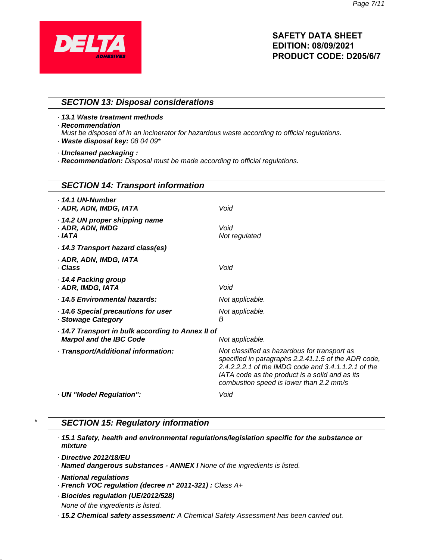

### **SECTION 13: Disposal considerations**

· **13.1 Waste treatment methods**

· **Recommendation**

Must be disposed of in an incinerator for hazardous waste according to official regulations.

· **Waste disposal key:** 08 04 09\*

· **Uncleaned packaging :**

· **Recommendation:** Disposal must be made according to official regulations.

| <b>SECTION 14: Transport information</b>                                          |                                                                                                                                                                                                                                                         |  |
|-----------------------------------------------------------------------------------|---------------------------------------------------------------------------------------------------------------------------------------------------------------------------------------------------------------------------------------------------------|--|
| $.14.1$ UN-Number<br>· ADR, ADN, IMDG, IATA                                       | Void                                                                                                                                                                                                                                                    |  |
| 14.2 UN proper shipping name<br>· ADR, ADN, IMDG<br>. IATA                        | Void<br>Not regulated                                                                                                                                                                                                                                   |  |
| 14.3 Transport hazard class(es)                                                   |                                                                                                                                                                                                                                                         |  |
| · ADR, ADN, IMDG, IATA<br>· Class                                                 | Void                                                                                                                                                                                                                                                    |  |
| 14.4 Packing group<br>· ADR, IMDG, IATA                                           | Void                                                                                                                                                                                                                                                    |  |
| · 14.5 Environmental hazards:                                                     | Not applicable.                                                                                                                                                                                                                                         |  |
| 14.6 Special precautions for user<br>· Stowage Category                           | Not applicable.<br>B                                                                                                                                                                                                                                    |  |
| 14.7 Transport in bulk according to Annex II of<br><b>Marpol and the IBC Code</b> | Not applicable.                                                                                                                                                                                                                                         |  |
| · Transport/Additional information:                                               | Not classified as hazardous for transport as<br>specified in paragraphs 2.2.41.1.5 of the ADR code,<br>2.4.2.2.2.1 of the IMDG code and 3.4.1.1.2.1 of the<br>IATA code as the product is a solid and as its<br>combustion speed is lower than 2.2 mm/s |  |
| · UN "Model Regulation":                                                          | Void                                                                                                                                                                                                                                                    |  |

# **SECTION 15: Regulatory information**

· **15.1 Safety, health and environmental regulations/legislation specific for the substance or mixture**

· **Directive 2012/18/EU**

· **Named dangerous substances - ANNEX I** None of the ingredients is listed.

- · **French VOC regulation (decree n° 2011-321) :** Class A+
- · **Biocides regulation (UE/2012/528)** None of the ingredients is listed.
- · **15.2 Chemical safety assessment:** A Chemical Safety Assessment has been carried out.

<sup>·</sup> **National regulations**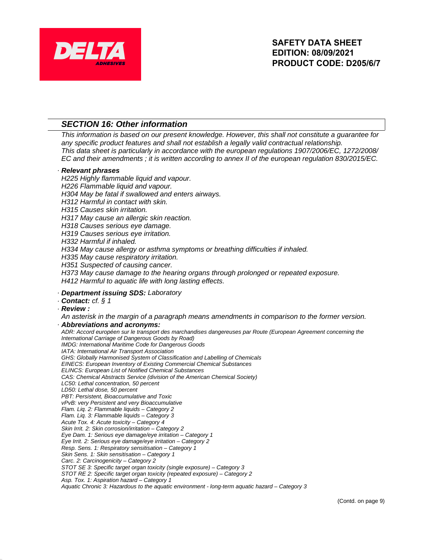

# **SECTION 16: Other information**

This information is based on our present knowledge. However, this shall not constitute a guarantee for any specific product features and shall not establish a legally valid contractual relationship. This data sheet is particularly in accordance with the european regulations 1907/2006/EC, 1272/2008/ EC and their amendments ; it is written according to annex II of the european regulation 830/2015/EC.

#### · **Relevant phrases**

H225 Highly flammable liquid and vapour. H226 Flammable liquid and vapour. H304 May be fatal if swallowed and enters airways. H312 Harmful in contact with skin. H315 Causes skin irritation. H317 May cause an allergic skin reaction. H318 Causes serious eye damage. H319 Causes serious eye irritation. H332 Harmful if inhaled. H334 May cause allergy or asthma symptoms or breathing difficulties if inhaled. H335 May cause respiratory irritation. H351 Suspected of causing cancer. H373 May cause damage to the hearing organs through prolonged or repeated exposure. H412 Harmful to aquatic life with long lasting effects.

### · **Department issuing SDS:** Laboratory

- · **Contact:** cf. § 1
- · **Review :**

An asterisk in the margin of a paragraph means amendments in comparison to the former version. · **Abbreviations and acronyms:**

ADR: Accord européen sur le transport des marchandises dangereuses par Route (European Agreement concerning the International Carriage of Dangerous Goods by Road) IMDG: International Maritime Code for Dangerous Goods IATA: International Air Transport Association GHS: Globally Harmonised System of Classification and Labelling of Chemicals EINECS: European Inventory of Existing Commercial Chemical Substances ELINCS: European List of Notified Chemical Substances CAS: Chemical Abstracts Service (division of the American Chemical Society) LC50: Lethal concentration, 50 percent LD50: Lethal dose, 50 percent PBT: Persistent, Bioaccumulative and Toxic vPvB: very Persistent and very Bioaccumulative Flam. Liq. 2: Flammable liquids – Category 2 Flam. Liq. 3: Flammable liquids – Category 3 Acute Tox. 4: Acute toxicity – Category 4 Skin Irrit. 2: Skin corrosion/irritation – Category 2 Eye Dam. 1: Serious eye damage/eye irritation – Category 1 Eye Irrit. 2: Serious eye damage/eye irritation – Category 2 Resp. Sens. 1: Respiratory sensitisation – Category 1 Skin Sens. 1: Skin sensitisation – Category 1 Carc. 2: Carcinogenicity – Category 2 STOT SE 3: Specific target organ toxicity (single exposure) – Category 3 STOT RE 2: Specific target organ toxicity (repeated exposure) – Category 2 Asp. Tox. 1: Aspiration hazard – Category 1 Aquatic Chronic 3: Hazardous to the aquatic environment - long-term aquatic hazard – Category 3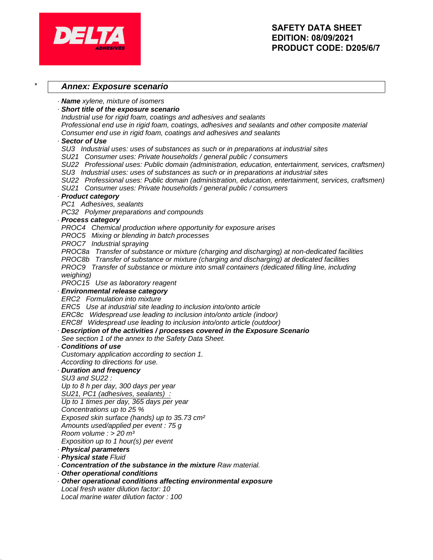

## **Annex: Exposure scenario**

· **Name** xylene, mixture of isomers

· **Short title of the exposure scenario**

Industrial use for rigid foam, coatings and adhesives and sealants

Professional end use in rigid foam, coatings, adhesives and sealants and other composite material Consumer end use in rigid foam, coatings and adhesives and sealants

### · **Sector of Use**

SU3 Industrial uses: uses of substances as such or in preparations at industrial sites

SU21 Consumer uses: Private households / general public / consumers

SU22 Professional uses: Public domain (administration, education, entertainment, services, craftsmen)

SU3 Industrial uses: uses of substances as such or in preparations at industrial sites

SU22 Professional uses: Public domain (administration, education, entertainment, services, craftsmen)

SU21 Consumer uses: Private households / general public / consumers

### · **Product category**

PC1 Adhesives, sealants

PC32 Polymer preparations and compounds

#### · **Process category**

PROC4 Chemical production where opportunity for exposure arises

PROC5 Mixing or blending in batch processes

PROC7 Industrial spraying

PROC8a Transfer of substance or mixture (charging and discharging) at non-dedicated facilities

PROC8b Transfer of substance or mixture (charging and discharging) at dedicated facilities

PROC9 Transfer of substance or mixture into small containers (dedicated filling line, including weighing)

PROC15 Use as laboratory reagent

## · **Environmental release category**

ERC2 Formulation into mixture

ERC5 Use at industrial site leading to inclusion into/onto article

ERC8c Widespread use leading to inclusion into/onto article (indoor)

ERC8f Widespread use leading to inclusion into/onto article (outdoor)

· **Description of the activities / processes covered in the Exposure Scenario**

See section 1 of the annex to the Safety Data Sheet.

#### · **Conditions of use**

Customary application according to section 1. According to directions for use.

# · **Duration and frequency**

SU3 and SU22 :

# Up to 8 h per day, 300 days per year

SU21, PC1 (adhesives, sealants) :

```
Up to 1 times per day, 365 days per year
```
Concentrations up to 25 %

Exposed skin surface (hands) up to 35.73 cm²

Amounts used/applied per event : 75 g

```
Room volume : > 20 m<sup>3</sup>
```
Exposition up to 1 hour(s) per event

- · **Physical parameters**
- · **Physical state** Fluid
- · **Concentration of the substance in the mixture** Raw material.
- · **Other operational conditions**
- · **Other operational conditions affecting environmental exposure** Local fresh water dilution factor: 10 Local marine water dilution factor : 100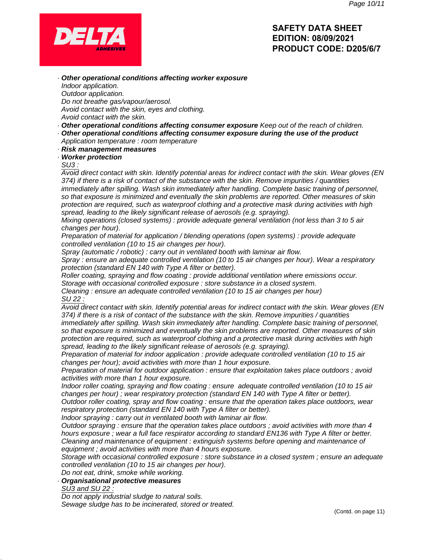

· **Other operational conditions affecting worker exposure** Indoor application. Outdoor application. Do not breathe gas/vapour/aerosol. Avoid contact with the skin, eyes and clothing.

- Avoid contact with the skin.
- · **Other operational conditions affecting consumer exposure** Keep out of the reach of children.
- · **Other operational conditions affecting consumer exposure during the use of the product** Application temperature : room temperature
- · **Risk management measures**
- · **Worker protection**

#### SU3 :

Avoid direct contact with skin. Identify potential areas for indirect contact with the skin. Wear gloves (EN 374) if there is a risk of contact of the substance with the skin. Remove impurities / quantities immediately after spilling. Wash skin immediately after handling. Complete basic training of personnel, so that exposure is minimized and eventually the skin problems are reported. Other measures of skin protection are required, such as waterproof clothing and a protective mask during activities with high spread, leading to the likely significant release of aerosols (e.g. spraying).

Mixing operations (closed systems) : provide adequate general ventilation (not less than 3 to 5 air changes per hour).

Preparation of material for application / blending operations (open systems) : provide adequate controlled ventilation (10 to 15 air changes per hour).

Spray (automatic / robotic) : carry out in ventilated booth with laminar air flow.

Spray : ensure an adequate controlled ventilation (10 to 15 air changes per hour). Wear a respiratory protection (standard EN 140 with Type A filter or better).

Roller coating, spraying and flow coating : provide additional ventilation where emissions occur. Storage with occasional controlled exposure : store substance in a closed system.

Cleaning : ensure an adequate controlled ventilation (10 to 15 air changes per hour) SU 22 :

Avoid direct contact with skin. Identify potential areas for indirect contact with the skin. Wear gloves (EN 374) if there is a risk of contact of the substance with the skin. Remove impurities / quantities immediately after spilling. Wash skin immediately after handling. Complete basic training of personnel, so that exposure is minimized and eventually the skin problems are reported. Other measures of skin

protection are required, such as waterproof clothing and a protective mask during activities with high spread, leading to the likely significant release of aerosols (e.g. spraying).

Preparation of material for indoor application : provide adequate controlled ventilation (10 to 15 air changes per hour); avoid activities with more than 1 hour exposure.

Preparation of material for outdoor application : ensure that exploitation takes place outdoors ; avoid activities with more than 1 hour exposure.

Indoor roller coating, spraying and flow coating : ensure adequate controlled ventilation (10 to 15 air changes per hour) ; wear respiratory protection (standard EN 140 with Type A filter or better).

Outdoor roller coating, spray and flow coating : ensure that the operation takes place outdoors, wear respiratory protection (standard EN 140 with Type A filter or better).

Indoor spraying : carry out in ventilated booth with laminar air flow.

Outdoor spraying : ensure that the operation takes place outdoors ; avoid activities with more than 4 hours exposure ; wear a full face respirator according to standard EN136 with Type A filter or better. Cleaning and maintenance of equipment : extinguish systems before opening and maintenance of equipment ; avoid activities with more than 4 hours exposure.

Storage with occasional controlled exposure : store substance in a closed system ; ensure an adequate controlled ventilation (10 to 15 air changes per hour).

Do not eat, drink, smoke while working.

### · **Organisational protective measures**

SU3 and SU 22 :

Do not apply industrial sludge to natural soils. Sewage sludge has to be incinerated, stored or treated.